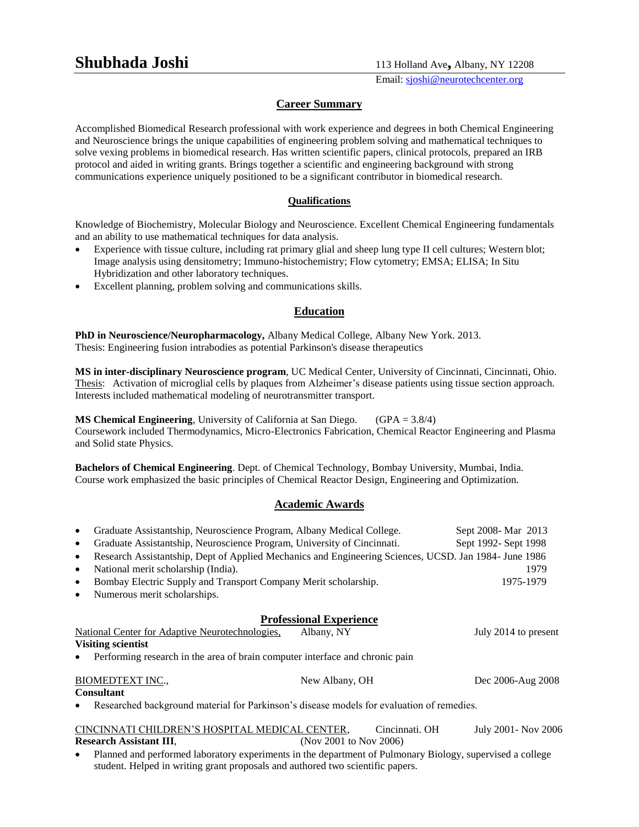Email: sjoshi@neurotechcenter.org

#### **Career Summary**

Accomplished Biomedical Research professional with work experience and degrees in both Chemical Engineering and Neuroscience brings the unique capabilities of engineering problem solving and mathematical techniques to solve vexing problems in biomedical research. Has written scientific papers, clinical protocols, prepared an IRB protocol and aided in writing grants. Brings together a scientific and engineering background with strong communications experience uniquely positioned to be a significant contributor in biomedical research.

#### **Qualifications**

Knowledge of Biochemistry, Molecular Biology and Neuroscience. Excellent Chemical Engineering fundamentals and an ability to use mathematical techniques for data analysis.

- Experience with tissue culture, including rat primary glial and sheep lung type II cell cultures; Western blot; Image analysis using densitometry; Immuno-histochemistry; Flow cytometry; EMSA; ELISA; In Situ Hybridization and other laboratory techniques.
- Excellent planning, problem solving and communications skills.

## **Education**

**PhD in Neuroscience/Neuropharmacology,** Albany Medical College, Albany New York. 2013. Thesis: Engineering fusion intrabodies as potential Parkinson's disease therapeutics

**MS in inter-disciplinary Neuroscience program**, UC Medical Center, University of Cincinnati, Cincinnati, Ohio. Thesis: Activation of microglial cells by plaques from Alzheimer's disease patients using tissue section approach. Interests included mathematical modeling of neurotransmitter transport.

**MS Chemical Engineering**, University of California at San Diego. (GPA = 3.8/4) Coursework included Thermodynamics, Micro-Electronics Fabrication, Chemical Reactor Engineering and Plasma and Solid state Physics.

**Bachelors of Chemical Engineering**. Dept. of Chemical Technology, Bombay University, Mumbai, India. Course work emphasized the basic principles of Chemical Reactor Design, Engineering and Optimization.

## **Academic Awards**

| Graduate Assistantship, Neuroscience Program, Albany Medical College.                                              |                                | Sept 2008 - Mar 2013 |
|--------------------------------------------------------------------------------------------------------------------|--------------------------------|----------------------|
| Graduate Assistantship, Neuroscience Program, University of Cincinnati.<br>$\bullet$                               |                                | Sept 1992- Sept 1998 |
| Research Assistantship, Dept of Applied Mechanics and Engineering Sciences, UCSD. Jan 1984- June 1986<br>$\bullet$ |                                |                      |
| National merit scholarship (India).<br>$\bullet$                                                                   |                                | 1979                 |
| Bombay Electric Supply and Transport Company Merit scholarship.                                                    |                                | 1975-1979            |
| Numerous merit scholarships.<br>$\bullet$                                                                          |                                |                      |
|                                                                                                                    | <b>Professional Experience</b> |                      |
| National Center for Adaptive Neurotechnologies,                                                                    | Albany, NY                     | July 2014 to present |
| <b>Visiting scientist</b>                                                                                          |                                |                      |
| Performing research in the area of brain computer interface and chronic pain                                       |                                |                      |
| <b>BIOMEDTEXT INC.,</b>                                                                                            | New Albany, OH                 | Dec 2006-Aug 2008    |
| Consultant                                                                                                         |                                |                      |
| Researched background material for Parkinson's disease models for evaluation of remedies.                          |                                |                      |
| CINCINNATI CHILDREN'S HOSPITAL MEDICAL CENTER,                                                                     | Cincinnati. OH                 | July 2001 - Nov 2006 |
| <b>Research Assistant III.</b>                                                                                     | (Nov 2001 to Nov 2006)         |                      |

 Planned and performed laboratory experiments in the department of Pulmonary Biology, supervised a college student. Helped in writing grant proposals and authored two scientific papers.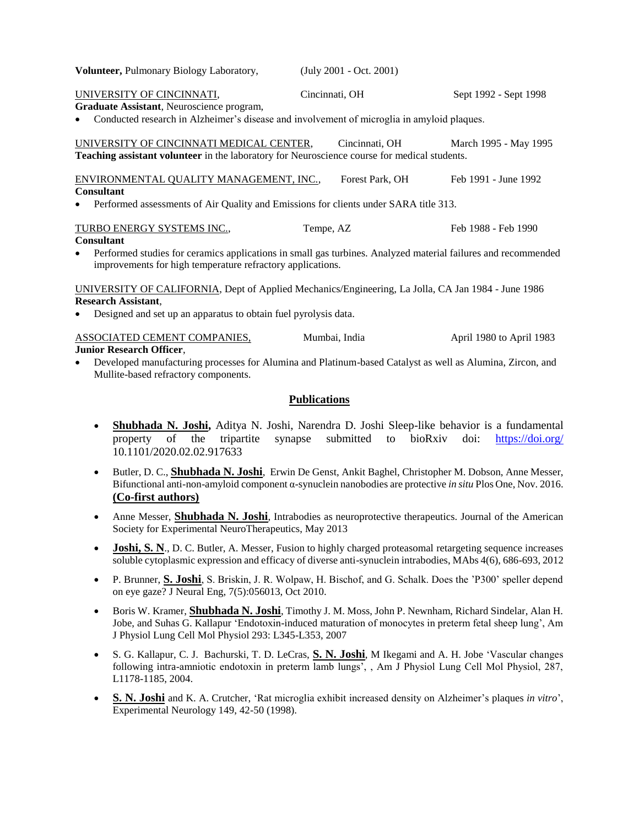| Volunteer, Pulmonary Biology Laboratory,                                                                                                                                                 | (July 2001 - Oct. 2001) |                          |  |
|------------------------------------------------------------------------------------------------------------------------------------------------------------------------------------------|-------------------------|--------------------------|--|
| UNIVERSITY OF CINCINNATI,                                                                                                                                                                | Cincinnati, OH          | Sept 1992 - Sept 1998    |  |
| Graduate Assistant, Neuroscience program,                                                                                                                                                |                         |                          |  |
| Conducted research in Alzheimer's disease and involvement of microglia in amyloid plaques.<br>$\bullet$                                                                                  |                         |                          |  |
| UNIVERSITY OF CINCINNATI MEDICAL CENTER,                                                                                                                                                 | Cincinnati, OH          | March 1995 - May 1995    |  |
| Teaching assistant volunteer in the laboratory for Neuroscience course for medical students.                                                                                             |                         |                          |  |
| ENVIRONMENTAL QUALITY MANAGEMENT, INC.,                                                                                                                                                  | Forest Park, OH         | Feb 1991 - June 1992     |  |
| <b>Consultant</b>                                                                                                                                                                        |                         |                          |  |
| Performed assessments of Air Quality and Emissions for clients under SARA title 313.<br>$\bullet$                                                                                        |                         |                          |  |
| TURBO ENERGY SYSTEMS INC.,                                                                                                                                                               | Tempe, AZ               | Feb 1988 - Feb 1990      |  |
| <b>Consultant</b>                                                                                                                                                                        |                         |                          |  |
| Performed studies for ceramics applications in small gas turbines. Analyzed material failures and recommended<br>$\bullet$<br>improvements for high temperature refractory applications. |                         |                          |  |
| UNIVERSITY OF CALIFORNIA, Dept of Applied Mechanics/Engineering, La Jolla, CA Jan 1984 - June 1986                                                                                       |                         |                          |  |
| <b>Research Assistant,</b>                                                                                                                                                               |                         |                          |  |
| Designed and set up an apparatus to obtain fuel pyrolysis data.<br>$\bullet$                                                                                                             |                         |                          |  |
| ASSOCIATED CEMENT COMPANIES,                                                                                                                                                             | Mumbai, India           | April 1980 to April 1983 |  |
| <b>Junior Research Officer.</b>                                                                                                                                                          |                         |                          |  |

 Developed manufacturing processes for Alumina and Platinum-based Catalyst as well as Alumina, Zircon, and Mullite-based refractory components.

## **Publications**

- **Shubhada N. Joshi,** Aditya N. Joshi, Narendra D. Joshi Sleep-like behavior is a fundamental property of the tripartite synapse submitted to bioRxiv doi: https://doi.org/ 10.1101/2020.02.02.917633
- Butler, D. C., **Shubhada N. Joshi**, Erwin De Genst, Ankit Baghel, Christopher M. Dobson, Anne Messer, Bifunctional anti-non-amyloid component α-synuclein nanobodies are protective *in situ* Plos One, Nov. 2016. **(Co-first authors)**
- Anne Messer, **Shubhada N. Joshi**, Intrabodies as neuroprotective therapeutics. Journal of the American Society for Experimental NeuroTherapeutics, May 2013
- **Joshi, S. N.**, D. C. Butler, A. Messer, Fusion to highly charged proteasomal retargeting sequence increases soluble cytoplasmic expression and efficacy of diverse anti-synuclein intrabodies, MAbs 4(6), 686-693, 2012
- P. Brunner, **S. Joshi**, S. Briskin, J. R. Wolpaw, H. Bischof, and G. Schalk. Does the 'P300' speller depend on eye gaze? J Neural Eng, 7(5):056013, Oct 2010.
- Boris W. Kramer, **Shubhada N. Joshi**, Timothy J. M. Moss, John P. Newnham, Richard Sindelar, Alan H. Jobe, and Suhas G. Kallapur 'Endotoxin-induced maturation of monocytes in preterm fetal sheep lung', Am J Physiol Lung Cell Mol Physiol 293: L345-L353, 2007
- S. G. Kallapur, C. J. Bachurski, T. D. LeCras, **S. N. Joshi**, M Ikegami and A. H. Jobe 'Vascular changes following intra-amniotic endotoxin in preterm lamb lungs', , Am J Physiol Lung Cell Mol Physiol, 287, L1178-1185, 2004.
- **S. N. Joshi** and K. A. Crutcher, 'Rat microglia exhibit increased density on Alzheimer's plaques *in vitro*', Experimental Neurology 149, 42-50 (1998).